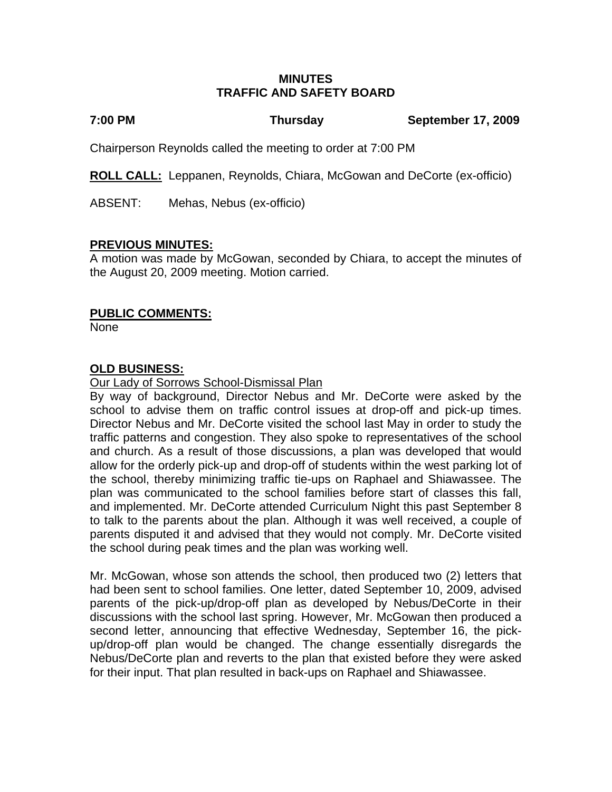## **MINUTES TRAFFIC AND SAFETY BOARD**

## **7:00 PM Thursday September 17, 2009**

Chairperson Reynolds called the meeting to order at 7:00 PM

**ROLL CALL:** Leppanen, Reynolds, Chiara, McGowan and DeCorte (ex-officio)

ABSENT: Mehas, Nebus (ex-officio)

# **PREVIOUS MINUTES:**

A motion was made by McGowan, seconded by Chiara, to accept the minutes of the August 20, 2009 meeting. Motion carried.

# **PUBLIC COMMENTS:**

None

# **OLD BUSINESS:**

Our Lady of Sorrows School-Dismissal Plan

By way of background, Director Nebus and Mr. DeCorte were asked by the school to advise them on traffic control issues at drop-off and pick-up times. Director Nebus and Mr. DeCorte visited the school last May in order to study the traffic patterns and congestion. They also spoke to representatives of the school and church. As a result of those discussions, a plan was developed that would allow for the orderly pick-up and drop-off of students within the west parking lot of the school, thereby minimizing traffic tie-ups on Raphael and Shiawassee. The plan was communicated to the school families before start of classes this fall, and implemented. Mr. DeCorte attended Curriculum Night this past September 8 to talk to the parents about the plan. Although it was well received, a couple of parents disputed it and advised that they would not comply. Mr. DeCorte visited the school during peak times and the plan was working well.

Mr. McGowan, whose son attends the school, then produced two (2) letters that had been sent to school families. One letter, dated September 10, 2009, advised parents of the pick-up/drop-off plan as developed by Nebus/DeCorte in their discussions with the school last spring. However, Mr. McGowan then produced a second letter, announcing that effective Wednesday, September 16, the pickup/drop-off plan would be changed. The change essentially disregards the Nebus/DeCorte plan and reverts to the plan that existed before they were asked for their input. That plan resulted in back-ups on Raphael and Shiawassee.